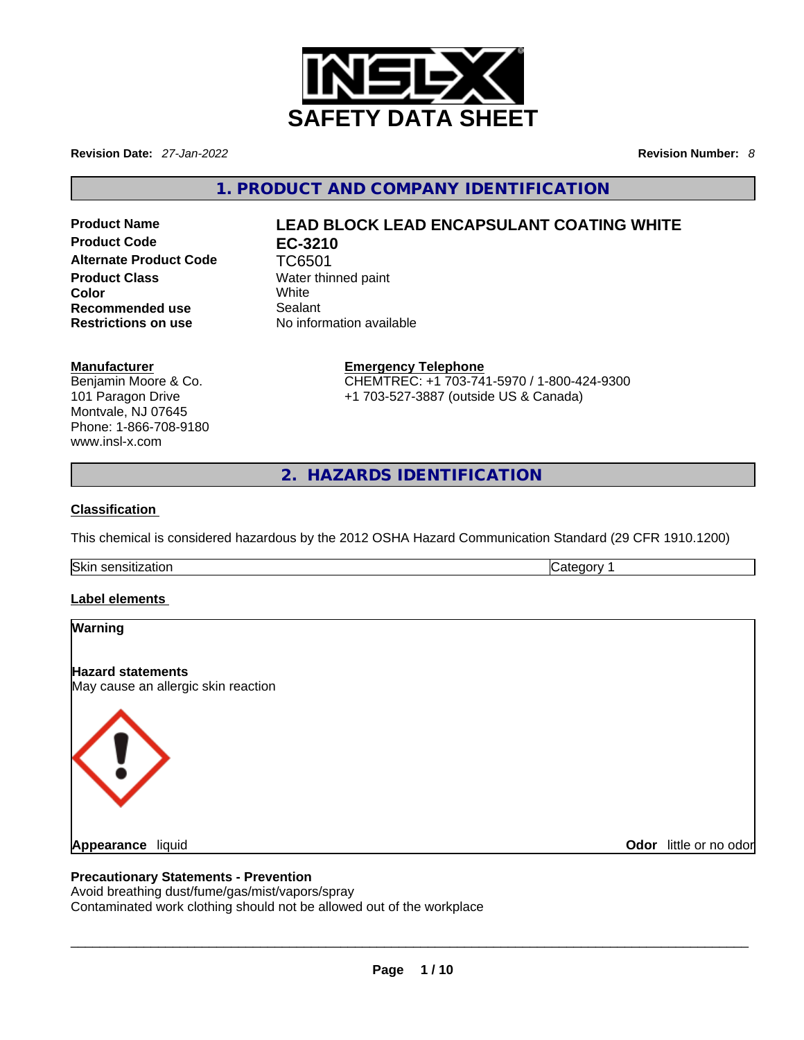

**Revision Date:** *27-Jan-2022* **Revision Number:** *8*

**1. PRODUCT AND COMPANY IDENTIFICATION** 

**Product Code EC-3210**  Alternate Product Code TC6501 **Product Class** Water thinned paint **Color** White **Recommended use Sealant Restrictions on use** No information available

# **Product Name LEAD BLOCK LEAD ENCAPSULANT COATING WHITE**

#### **Manufacturer**

Benjamin Moore & Co. 101 Paragon Drive Montvale, NJ 07645 Phone: 1-866-708-9180 www.insl-x.com

**Emergency Telephone** CHEMTREC: +1 703-741-5970 / 1-800-424-9300 +1 703-527-3887 (outside US & Canada)

**2. HAZARDS IDENTIFICATION** 

## **Classification**

This chemical is considered hazardous by the 2012 OSHA Hazard Communication Standard (29 CFR 1910.1200)

Skin sensitization **Category 1 Category 1** 

## **Label elements**

| Warning                                                                                                                                                                  |                        |
|--------------------------------------------------------------------------------------------------------------------------------------------------------------------------|------------------------|
| <b>Hazard statements</b><br>May cause an allergic skin reaction                                                                                                          |                        |
| $\langle \cdot \rangle$                                                                                                                                                  |                        |
| <b>Appearance</b> liquid                                                                                                                                                 | Odor little or no odor |
| <b>Precautionary Statements - Prevention</b><br>Avoid breathing dust/fume/gas/mist/vapors/spray<br>Contaminated work clothing should not be allowed out of the workplace |                        |
|                                                                                                                                                                          |                        |

## **Precautionary Statements - Prevention**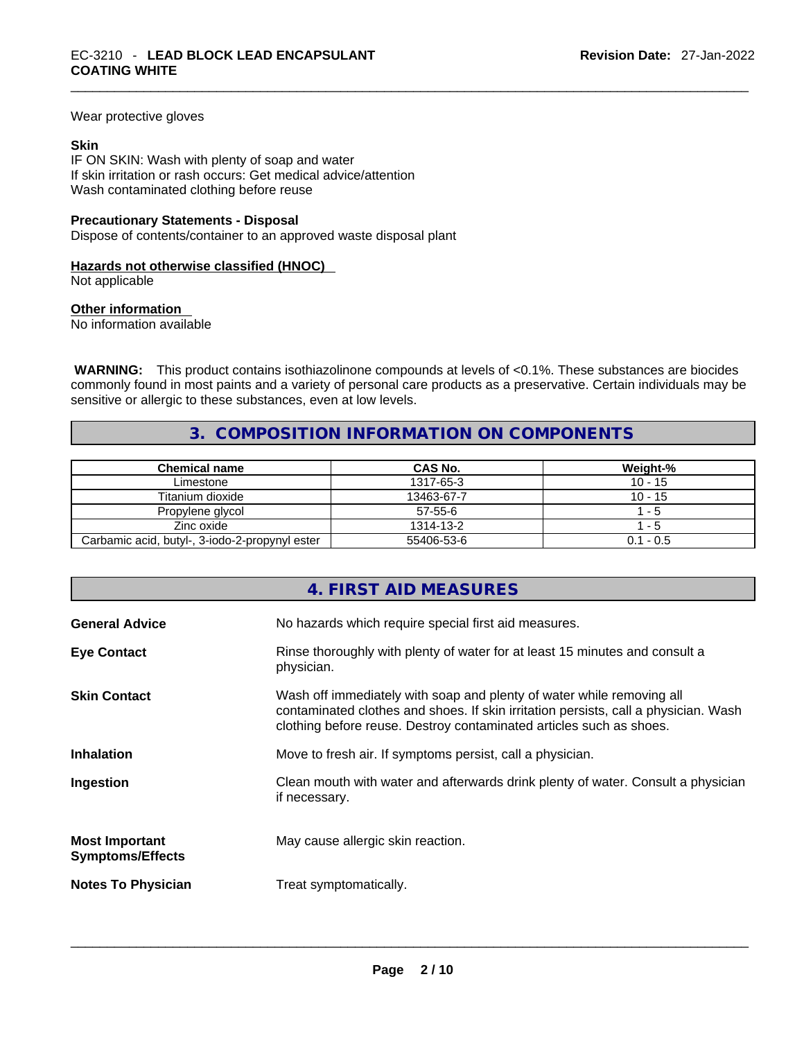Wear protective gloves

#### **Skin**

IF ON SKIN: Wash with plenty of soap and water If skin irritation or rash occurs: Get medical advice/attention Wash contaminated clothing before reuse

#### **Precautionary Statements - Disposal**

Dispose of contents/container to an approved waste disposal plant

#### **Hazards not otherwise classified (HNOC)**

Not applicable

#### **Other information**

No information available

 **WARNING:** This product contains isothiazolinone compounds at levels of <0.1%. These substances are biocides commonly found in most paints and a variety of personal care products as a preservative. Certain individuals may be sensitive or allergic to these substances, even at low levels.

## **3. COMPOSITION INFORMATION ON COMPONENTS**

| <b>Chemical name</b>                           | CAS No.    | Weight-%    |
|------------------------------------------------|------------|-------------|
| Limestone                                      | 1317-65-3  | $10 - 15$   |
| Titanium dioxide                               | 13463-67-7 | $10 - 15$   |
| Propylene glycol                               | $57-55-6$  | - 5         |
| Zinc oxide                                     | 1314-13-2  | - 5         |
| Carbamic acid, butyl-, 3-iodo-2-propynyl ester | 55406-53-6 | $0.1 - 0.5$ |

|                                                  | 4. FIRST AID MEASURES                                                                                                                                                                                                               |
|--------------------------------------------------|-------------------------------------------------------------------------------------------------------------------------------------------------------------------------------------------------------------------------------------|
| <b>General Advice</b>                            | No hazards which require special first aid measures.                                                                                                                                                                                |
| <b>Eye Contact</b>                               | Rinse thoroughly with plenty of water for at least 15 minutes and consult a<br>physician.                                                                                                                                           |
| <b>Skin Contact</b>                              | Wash off immediately with soap and plenty of water while removing all<br>contaminated clothes and shoes. If skin irritation persists, call a physician. Wash<br>clothing before reuse. Destroy contaminated articles such as shoes. |
| <b>Inhalation</b>                                | Move to fresh air. If symptoms persist, call a physician.                                                                                                                                                                           |
| Ingestion                                        | Clean mouth with water and afterwards drink plenty of water. Consult a physician<br>if necessary.                                                                                                                                   |
| <b>Most Important</b><br><b>Symptoms/Effects</b> | May cause allergic skin reaction.                                                                                                                                                                                                   |
| <b>Notes To Physician</b>                        | Treat symptomatically.                                                                                                                                                                                                              |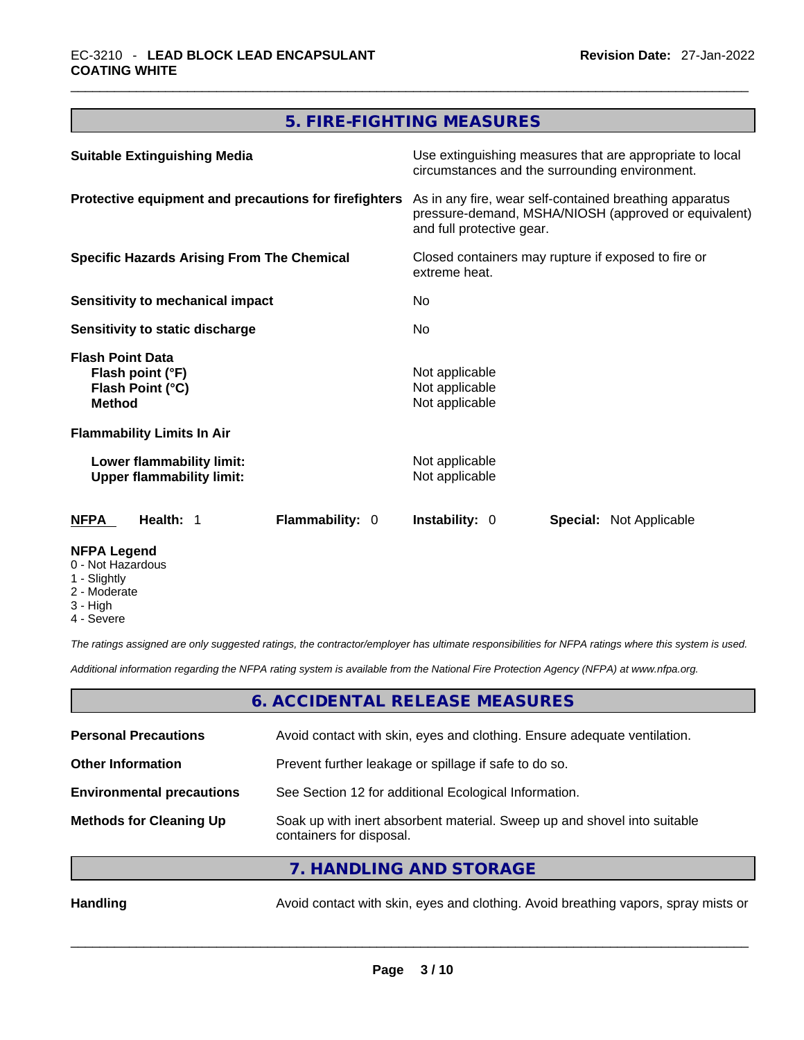# **5. FIRE-FIGHTING MEASURES**

| <b>Suitable Extinguishing Media</b>                                              | Use extinguishing measures that are appropriate to local<br>circumstances and the surrounding environment.<br>As in any fire, wear self-contained breathing apparatus<br>pressure-demand, MSHA/NIOSH (approved or equivalent)<br>and full protective gear.<br>Closed containers may rupture if exposed to fire or<br>extreme heat.<br>No.<br>No. |  |
|----------------------------------------------------------------------------------|--------------------------------------------------------------------------------------------------------------------------------------------------------------------------------------------------------------------------------------------------------------------------------------------------------------------------------------------------|--|
| Protective equipment and precautions for firefighters                            |                                                                                                                                                                                                                                                                                                                                                  |  |
| <b>Specific Hazards Arising From The Chemical</b>                                |                                                                                                                                                                                                                                                                                                                                                  |  |
| Sensitivity to mechanical impact                                                 |                                                                                                                                                                                                                                                                                                                                                  |  |
| Sensitivity to static discharge                                                  |                                                                                                                                                                                                                                                                                                                                                  |  |
| <b>Flash Point Data</b><br>Flash point (°F)<br>Flash Point (°C)<br><b>Method</b> | Not applicable<br>Not applicable<br>Not applicable                                                                                                                                                                                                                                                                                               |  |
| <b>Flammability Limits In Air</b>                                                |                                                                                                                                                                                                                                                                                                                                                  |  |
| Lower flammability limit:<br><b>Upper flammability limit:</b>                    | Not applicable<br>Not applicable                                                                                                                                                                                                                                                                                                                 |  |
| Flammability: 0<br><b>NFPA</b><br>Health: 1                                      | <b>Instability: 0</b><br><b>Special: Not Applicable</b>                                                                                                                                                                                                                                                                                          |  |
| <b>NFPA Legend</b>                                                               |                                                                                                                                                                                                                                                                                                                                                  |  |

- 0 Not Hazardous
- 1 Slightly
- 2 Moderate
- 3 High
- 4 Severe

*The ratings assigned are only suggested ratings, the contractor/employer has ultimate responsibilities for NFPA ratings where this system is used.* 

*Additional information regarding the NFPA rating system is available from the National Fire Protection Agency (NFPA) at www.nfpa.org.* 

## **6. ACCIDENTAL RELEASE MEASURES**

| <b>Personal Precautions</b>      | Avoid contact with skin, eyes and clothing. Ensure adequate ventilation.                             |
|----------------------------------|------------------------------------------------------------------------------------------------------|
| <b>Other Information</b>         | Prevent further leakage or spillage if safe to do so.                                                |
| <b>Environmental precautions</b> | See Section 12 for additional Ecological Information.                                                |
| <b>Methods for Cleaning Up</b>   | Soak up with inert absorbent material. Sweep up and shovel into suitable<br>containers for disposal. |
|                                  | 7. HANDLING AND STORAGE                                                                              |

Handling **Handling Avoid contact with skin, eyes and clothing. Avoid breathing vapors, spray mists or**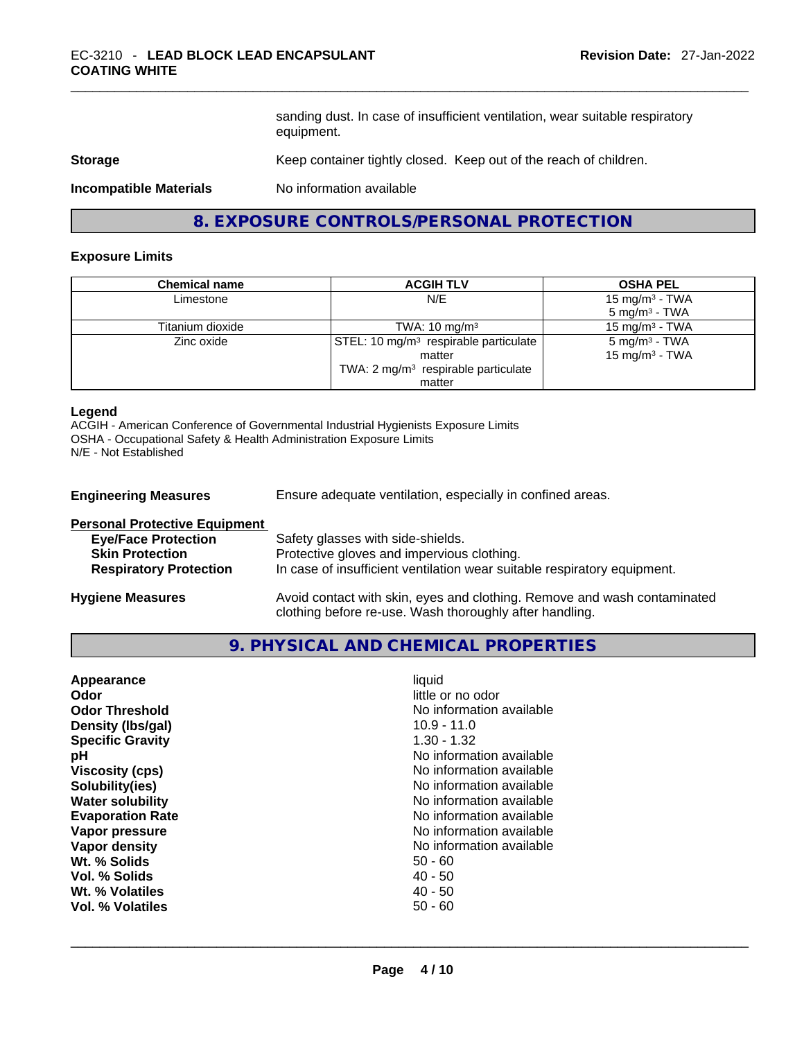sanding dust. In case of insufficient ventilation, wear suitable respiratory equipment.

## **Storage Storage Example 20 Keep container tightly closed. Keep out of the reach of children.**

**Incompatible Materials** No information available

## **8. EXPOSURE CONTROLS/PERSONAL PROTECTION**

#### **Exposure Limits**

| <b>Chemical name</b> | <b>ACGIH TLV</b>                                  | <b>OSHA PEL</b>            |
|----------------------|---------------------------------------------------|----------------------------|
| Limestone            | N/E                                               | 15 mg/m <sup>3</sup> - TWA |
|                      |                                                   | $5 \text{ mg/m}^3$ - TWA   |
| Titanium dioxide     | TWA: $10 \text{ mg/m}^3$                          | 15 mg/m $3$ - TWA          |
| Zinc oxide           | STEL: 10 mg/m <sup>3</sup> respirable particulate | $5 \text{ mg/m}^3$ - TWA   |
|                      | matter                                            | 15 mg/m <sup>3</sup> - TWA |
|                      | TWA: 2 mg/m <sup>3</sup> respirable particulate   |                            |
|                      | matter                                            |                            |

#### **Legend**

ACGIH - American Conference of Governmental Industrial Hygienists Exposure Limits OSHA - Occupational Safety & Health Administration Exposure Limits N/E - Not Established

| <b>Engineering Measures</b>          | Ensure adequate ventilation, especially in confined areas.               |
|--------------------------------------|--------------------------------------------------------------------------|
| <b>Personal Protective Equipment</b> |                                                                          |
| <b>Eye/Face Protection</b>           | Safety glasses with side-shields.                                        |
| <b>Skin Protection</b>               | Protective gloves and impervious clothing.                               |
| <b>Respiratory Protection</b>        | In case of insufficient ventilation wear suitable respiratory equipment. |
|                                      |                                                                          |

**Hygiene Measures** Avoid contact with skin, eyes and clothing. Remove and wash contaminated clothing before re-use. Wash thoroughly after handling.

## **9. PHYSICAL AND CHEMICAL PROPERTIES**

| Appearance              | liquid                   |
|-------------------------|--------------------------|
| Odor                    | little or no odor        |
| <b>Odor Threshold</b>   | No information available |
| Density (Ibs/gal)       | $10.9 - 11.0$            |
| <b>Specific Gravity</b> | $1.30 - 1.32$            |
| рH                      | No information available |
| <b>Viscosity (cps)</b>  | No information available |
| Solubility(ies)         | No information available |
| <b>Water solubility</b> | No information available |
| <b>Evaporation Rate</b> | No information available |
| Vapor pressure          | No information available |
| Vapor density           | No information available |
| Wt. % Solids            | $50 - 60$                |
| Vol. % Solids           | $40 - 50$                |
| Wt. % Volatiles         | $40 - 50$                |
| Vol. % Volatiles        | $50 - 60$                |
|                         |                          |
|                         |                          |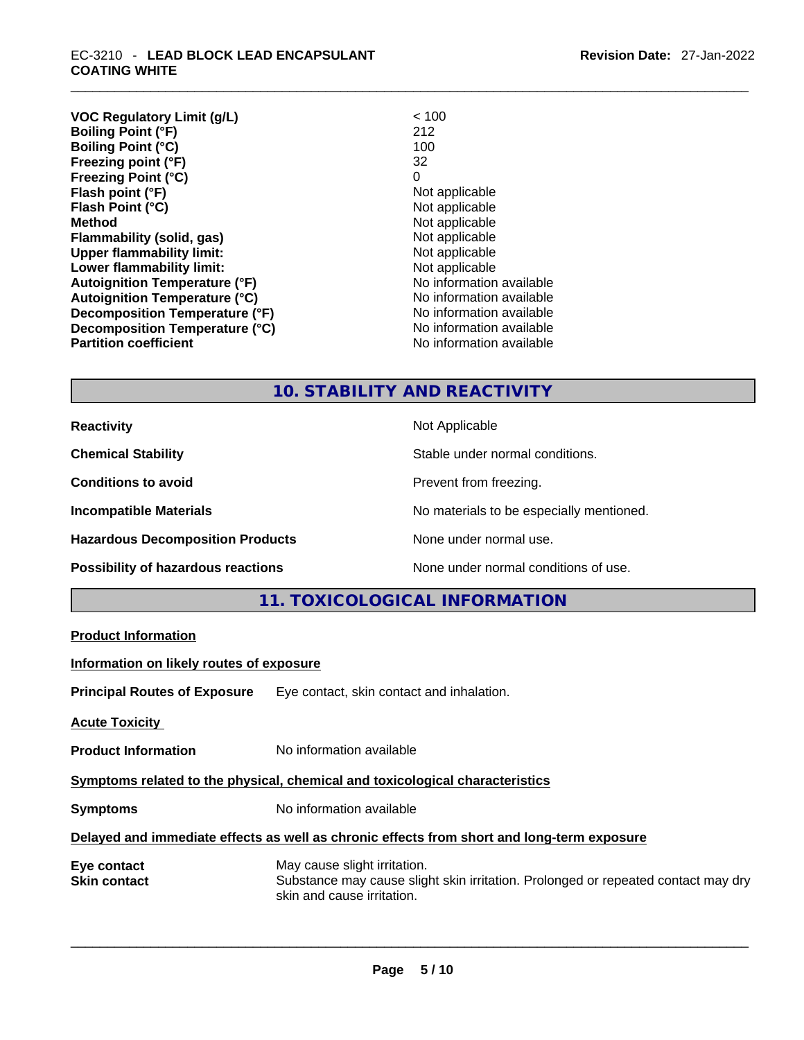| <b>VOC Regulatory Limit (g/L)</b>    | < 100                    |
|--------------------------------------|--------------------------|
| <b>Boiling Point (°F)</b>            | 212                      |
| <b>Boiling Point (°C)</b>            | 100                      |
| Freezing point (°F)                  | 32                       |
| <b>Freezing Point (°C)</b>           | 0                        |
| Flash point (°F)                     | Not applicable           |
| Flash Point (°C)                     | Not applicable           |
| <b>Method</b>                        | Not applicable           |
| Flammability (solid, gas)            | Not applicable           |
| <b>Upper flammability limit:</b>     | Not applicable           |
| Lower flammability limit:            | Not applicable           |
| <b>Autoignition Temperature (°F)</b> | No information available |
| <b>Autoignition Temperature (°C)</b> | No information available |
| Decomposition Temperature (°F)       | No information available |
| Decomposition Temperature (°C)       | No information available |
| <b>Partition coefficient</b>         | No information available |

## **10. STABILITY AND REACTIVITY**

| <b>Reactivity</b> |  |
|-------------------|--|
|                   |  |

**Hazardous Decomposition Products** None under normal use.

**Not Applicable** 

**Chemical Stability Chemical Stability** Stable under normal conditions.

**Conditions to avoid Prevent from freezing.** 

**Incompatible Materials Incompatible Materials Materials Materials No materials** to be especially mentioned.

#### **Possibility of hazardous reactions** None under normal conditions of use.

## **11. TOXICOLOGICAL INFORMATION**

| <b>Product Information</b>                                                   |                                                                                                                                                 |  |
|------------------------------------------------------------------------------|-------------------------------------------------------------------------------------------------------------------------------------------------|--|
| Information on likely routes of exposure                                     |                                                                                                                                                 |  |
|                                                                              | <b>Principal Routes of Exposure</b> Eye contact, skin contact and inhalation.                                                                   |  |
| <b>Acute Toxicity</b>                                                        |                                                                                                                                                 |  |
| <b>Product Information</b>                                                   | No information available                                                                                                                        |  |
| Symptoms related to the physical, chemical and toxicological characteristics |                                                                                                                                                 |  |
| <b>Symptoms</b>                                                              | No information available                                                                                                                        |  |
|                                                                              | Delayed and immediate effects as well as chronic effects from short and long-term exposure                                                      |  |
| Eye contact<br>Skin contact                                                  | May cause slight irritation.<br>Substance may cause slight skin irritation. Prolonged or repeated contact may dry<br>skin and cause irritation. |  |
|                                                                              |                                                                                                                                                 |  |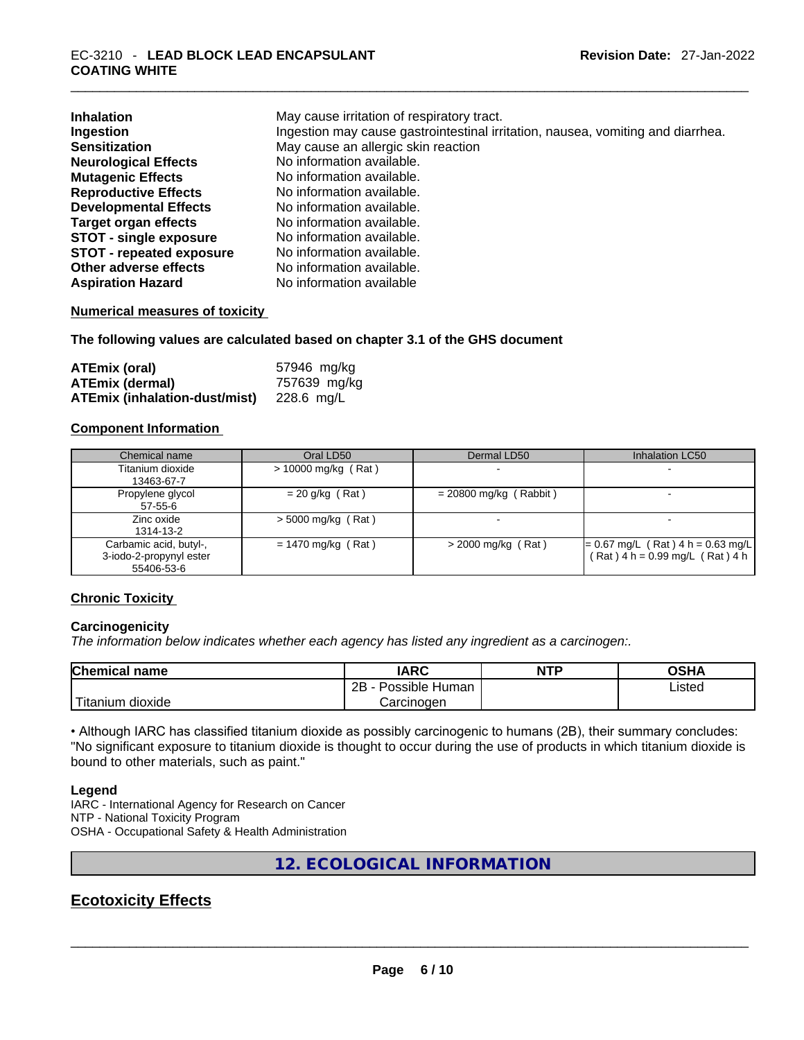| <b>Inhalation</b><br>Ingestion  | May cause irritation of respiratory tract.<br>Ingestion may cause gastrointestinal irritation, nausea, vomiting and diarrhea. |
|---------------------------------|-------------------------------------------------------------------------------------------------------------------------------|
| <b>Sensitization</b>            | May cause an allergic skin reaction                                                                                           |
| <b>Neurological Effects</b>     | No information available.                                                                                                     |
| <b>Mutagenic Effects</b>        | No information available.                                                                                                     |
| <b>Reproductive Effects</b>     | No information available.                                                                                                     |
| <b>Developmental Effects</b>    | No information available.                                                                                                     |
| <b>Target organ effects</b>     | No information available.                                                                                                     |
| <b>STOT - single exposure</b>   | No information available.                                                                                                     |
| <b>STOT - repeated exposure</b> | No information available.                                                                                                     |
| Other adverse effects           | No information available.                                                                                                     |
| <b>Aspiration Hazard</b>        | No information available                                                                                                      |

#### **Numerical measures of toxicity**

**The following values are calculated based on chapter 3.1 of the GHS document**

| ATEmix (oral)                        | 57946 mg/kg  |
|--------------------------------------|--------------|
| <b>ATEmix (dermal)</b>               | 757639 mg/kg |
| <b>ATEmix (inhalation-dust/mist)</b> | 228.6 mg/L   |

## **Component Information**

| Chemical name                                                   | Oral LD50             | Dermal LD50              | Inhalation LC50                                                        |
|-----------------------------------------------------------------|-----------------------|--------------------------|------------------------------------------------------------------------|
| Titanium dioxide<br>13463-67-7                                  | $> 10000$ mg/kg (Rat) | $\overline{\phantom{0}}$ | $\overline{\phantom{0}}$                                               |
| Propylene glycol<br>57-55-6                                     | $= 20$ g/kg (Rat)     | $= 20800$ mg/kg (Rabbit) |                                                                        |
| Zinc oxide<br>1314-13-2                                         | $>$ 5000 mg/kg (Rat)  | $\sim$                   | $\overline{\phantom{0}}$                                               |
| Carbamic acid, butyl-,<br>3-iodo-2-propynyl ester<br>55406-53-6 | $= 1470$ mg/kg (Rat)  | $>$ 2000 mg/kg (Rat)     | $= 0.67$ mg/L (Rat) 4 h = 0.63 mg/L<br>(Rat) 4 h = 0.99 mg/L (Rat) 4 h |

#### **Chronic Toxicity**

#### **Carcinogenicity**

*The information below indicates whether each agency has listed any ingredient as a carcinogen:.* 

| <b>Chemical name</b>    | IARC                 | <b>NTP</b> | OSHA   |
|-------------------------|----------------------|------------|--------|
|                         | 2B<br>Possible Human |            | Listed |
| ' Titanium 、<br>dioxide | Carcinoɑen           |            |        |

• Although IARC has classified titanium dioxide as possibly carcinogenic to humans (2B), their summary concludes: "No significant exposure to titanium dioxide is thought to occur during the use of products in which titanium dioxide is bound to other materials, such as paint."

#### **Legend**

IARC - International Agency for Research on Cancer NTP - National Toxicity Program OSHA - Occupational Safety & Health Administration

**12. ECOLOGICAL INFORMATION** 

## **Ecotoxicity Effects**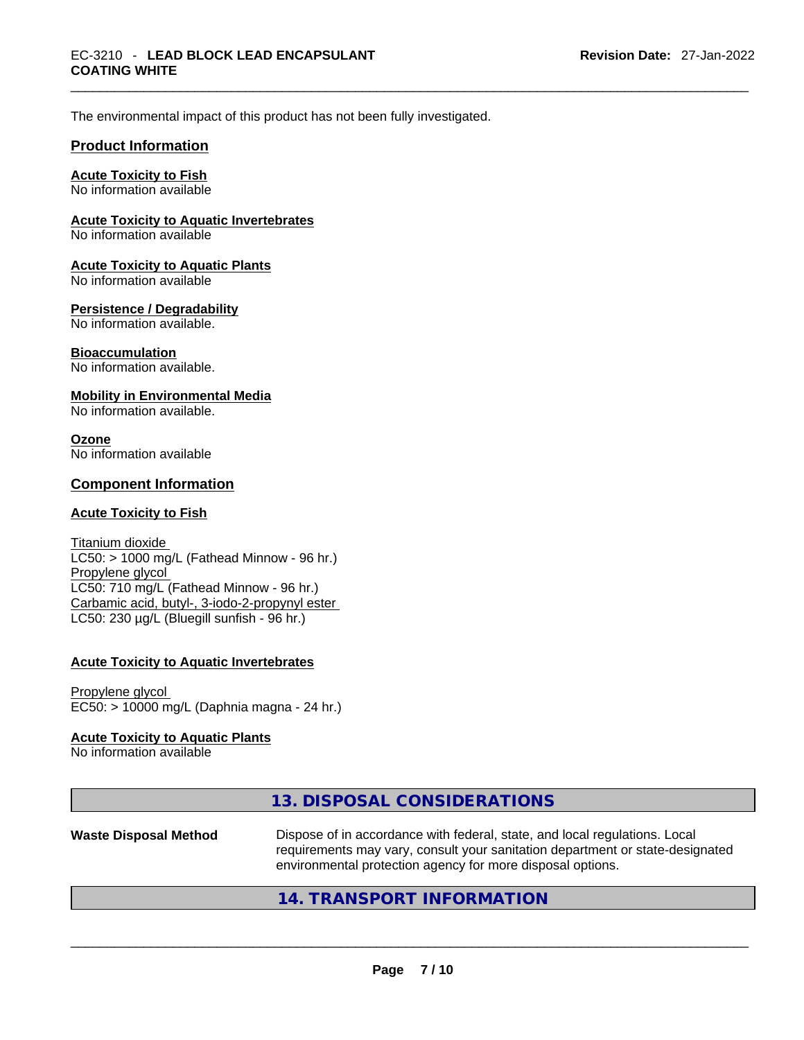The environmental impact of this product has not been fully investigated.

#### **Product Information**

#### **Acute Toxicity to Fish**

No information available

#### **Acute Toxicity to Aquatic Invertebrates**

No information available

#### **Acute Toxicity to Aquatic Plants**

No information available

#### **Persistence / Degradability**

No information available.

#### **Bioaccumulation**

No information available.

#### **Mobility in Environmental Media**

No information available.

#### **Ozone** No information available

#### **Component Information**

#### **Acute Toxicity to Fish**

Titanium dioxide  $LC50:$  > 1000 mg/L (Fathead Minnow - 96 hr.) Propylene glycol LC50: 710 mg/L (Fathead Minnow - 96 hr.) Carbamic acid, butyl-, 3-iodo-2-propynyl ester LC50: 230 µg/L (Bluegill sunfish - 96 hr.)

#### **Acute Toxicity to Aquatic Invertebrates**

Propylene glycol EC50: > 10000 mg/L (Daphnia magna - 24 hr.)

#### **Acute Toxicity to Aquatic Plants**

No information available

|                              | 13. DISPOSAL CONSIDERATIONS                                                                                                                                                                                               |
|------------------------------|---------------------------------------------------------------------------------------------------------------------------------------------------------------------------------------------------------------------------|
| <b>Waste Disposal Method</b> | Dispose of in accordance with federal, state, and local regulations. Local<br>requirements may vary, consult your sanitation department or state-designated<br>environmental protection agency for more disposal options. |
|                              | 14. TRANSPORT INFORMATION                                                                                                                                                                                                 |
|                              |                                                                                                                                                                                                                           |

## **14. TRANSPORT INFORMATION**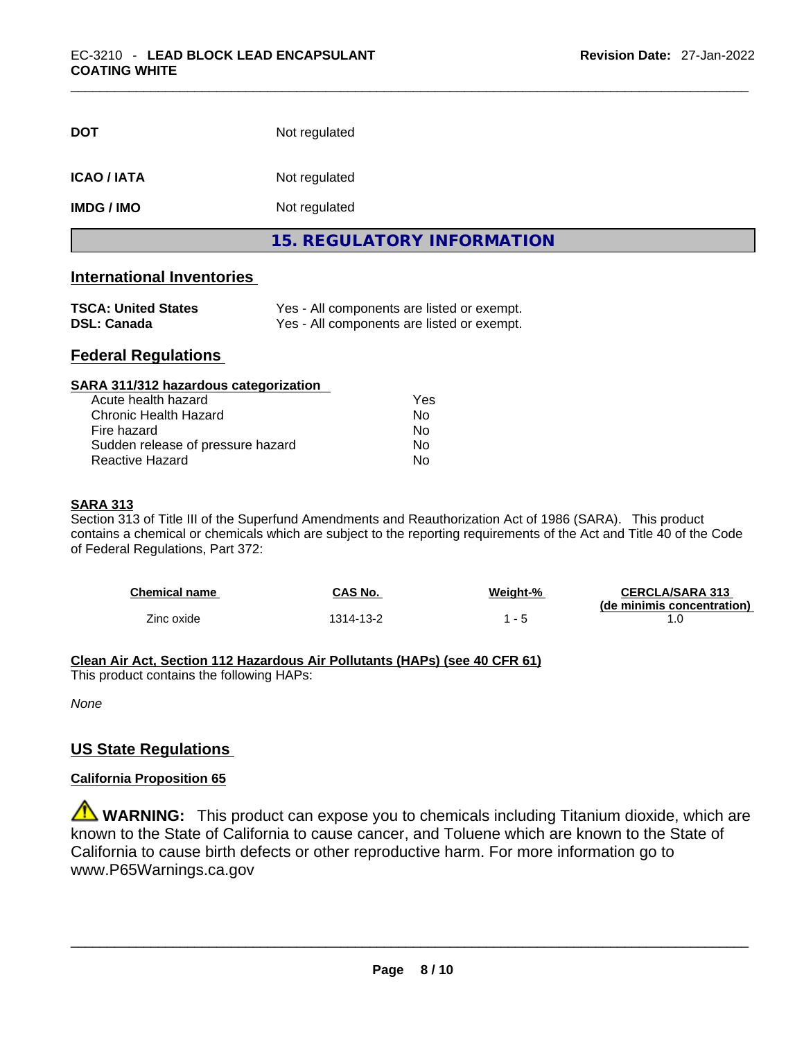| <b>DOT</b>        | Not regulated              |
|-------------------|----------------------------|
| <b>ICAO/IATA</b>  | Not regulated              |
| <b>IMDG / IMO</b> | Not regulated              |
|                   | 15. REGULATORY INFORMATION |

## **International Inventories**

| <b>TSCA: United States</b> | Yes - All components are listed or exempt. |
|----------------------------|--------------------------------------------|
| <b>DSL: Canada</b>         | Yes - All components are listed or exempt. |

## **Federal Regulations**

| SARA 311/312 hazardous categorization |                |  |
|---------------------------------------|----------------|--|
| Acute health hazard                   | Yes            |  |
| <b>Chronic Health Hazard</b>          | No             |  |
| Fire hazard                           | N <sub>0</sub> |  |
| Sudden release of pressure hazard     | Nο             |  |
| Reactive Hazard                       | No             |  |

#### **SARA 313**

Section 313 of Title III of the Superfund Amendments and Reauthorization Act of 1986 (SARA). This product contains a chemical or chemicals which are subject to the reporting requirements of the Act and Title 40 of the Code of Federal Regulations, Part 372:

| <b>Chemical name</b> | CAS No.   | Weight-% | <b>CERCLA/SARA 313</b>     |
|----------------------|-----------|----------|----------------------------|
|                      |           |          | (de minimis concentration) |
| Zinc oxide           | 1314-13-2 |          |                            |

## **Clean Air Act,Section 112 Hazardous Air Pollutants (HAPs) (see 40 CFR 61)**

This product contains the following HAPs:

*None*

## **US State Regulations**

#### **California Proposition 65**

**WARNING:** This product can expose you to chemicals including Titanium dioxide, which are known to the State of California to cause cancer, and Toluene which are known to the State of California to cause birth defects or other reproductive harm. For more information go to www.P65Warnings.ca.gov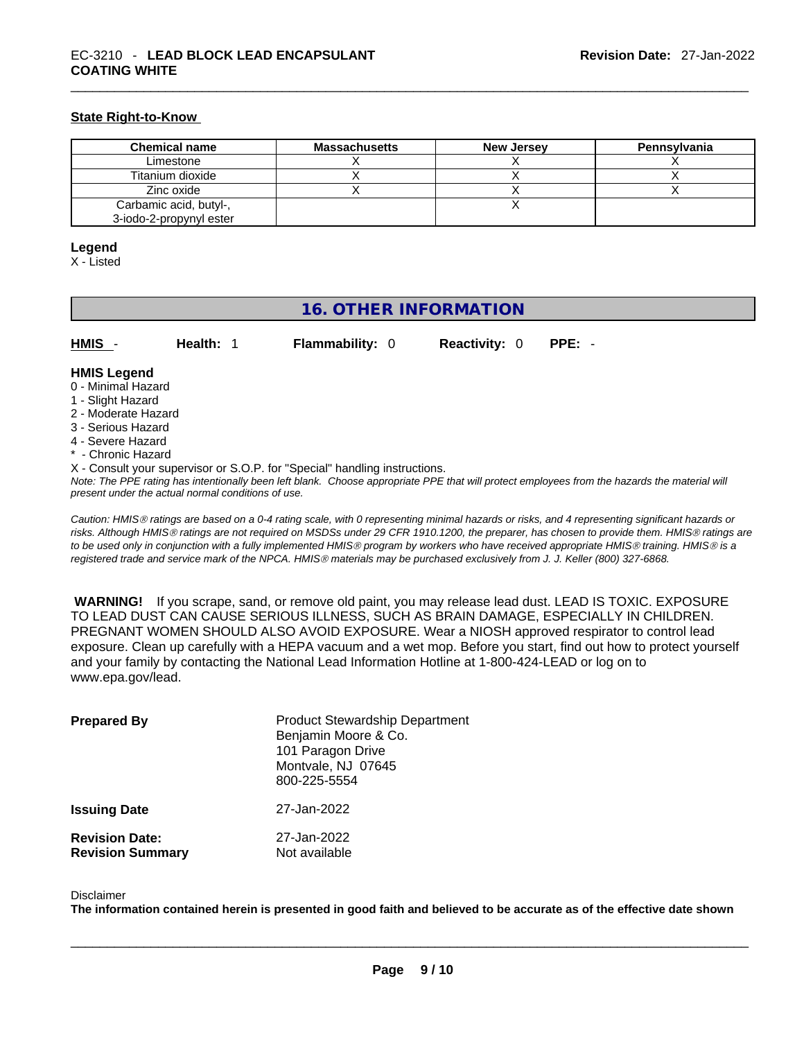#### **State Right-to-Know**

| <b>Chemical name</b>    | <b>Massachusetts</b> | <b>New Jersey</b> | Pennsylvania |
|-------------------------|----------------------|-------------------|--------------|
| Limestone               |                      |                   |              |
| Titanium dioxide        |                      |                   |              |
| Zinc oxide              |                      |                   |              |
| Carbamic acid, butyl-,  |                      |                   |              |
| 3-iodo-2-propynyl ester |                      |                   |              |

#### **Legend**

X - Listed

## **16. OTHER INFORMATION**

| HMIS - | Health: 1 | <b>Flammability: 0</b> | <b>Reactivity: 0 PPE: -</b> |  |
|--------|-----------|------------------------|-----------------------------|--|
|        |           |                        |                             |  |

#### **HMIS Legend**

- 0 Minimal Hazard
- 1 Slight Hazard
- 2 Moderate Hazard
- 3 Serious Hazard
- 4 Severe Hazard
- \* Chronic Hazard
- X Consult your supervisor or S.O.P. for "Special" handling instructions.

Note: The PPE rating has intentionally been left blank. Choose appropriate PPE that will protect employees from the hazards the material will *present under the actual normal conditions of use.* 

*Caution: HMISÒ ratings are based on a 0-4 rating scale, with 0 representing minimal hazards or risks, and 4 representing significant hazards or risks. Although HMISÒ ratings are not required on MSDSs under 29 CFR 1910.1200, the preparer, has chosen to provide them. HMISÒ ratings are to be used only in conjunction with a fully implemented HMISÒ program by workers who have received appropriate HMISÒ training. HMISÒ is a registered trade and service mark of the NPCA. HMISÒ materials may be purchased exclusively from J. J. Keller (800) 327-6868.* 

 **WARNING!** If you scrape, sand, or remove old paint, you may release lead dust. LEAD IS TOXIC. EXPOSURE TO LEAD DUST CAN CAUSE SERIOUS ILLNESS, SUCH AS BRAIN DAMAGE, ESPECIALLY IN CHILDREN. PREGNANT WOMEN SHOULD ALSO AVOID EXPOSURE.Wear a NIOSH approved respirator to control lead exposure. Clean up carefully with a HEPA vacuum and a wet mop. Before you start, find out how to protect yourself and your family by contacting the National Lead Information Hotline at 1-800-424-LEAD or log on to www.epa.gov/lead.

| <b>Prepared By</b>                               | <b>Product Stewardship Department</b><br>Benjamin Moore & Co.<br>101 Paragon Drive<br>Montvale, NJ 07645<br>800-225-5554 |
|--------------------------------------------------|--------------------------------------------------------------------------------------------------------------------------|
| <b>Issuing Date</b>                              | 27-Jan-2022                                                                                                              |
| <b>Revision Date:</b><br><b>Revision Summary</b> | 27-Jan-2022<br>Not available                                                                                             |

#### Disclaimer

The information contained herein is presented in good faith and believed to be accurate as of the effective date shown